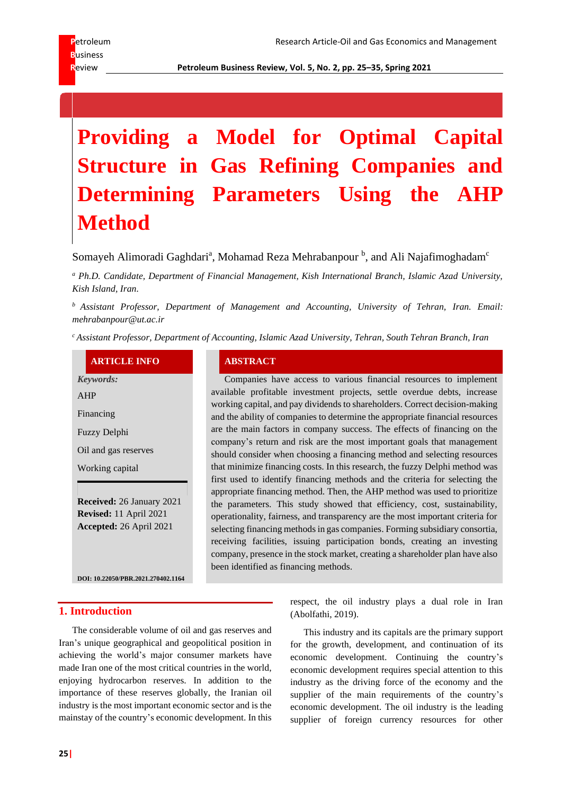**R**eview **Petroleum Business Review, Vol. 5, No. 2, pp. 25–35, Spring 2021**

# **Providing a Model for Optimal Capital Structure in Gas Refining Companies and Determining Parameters Using the AHP Method**

Somayeh Alimoradi Gaghdari<sup>a</sup>, Mohamad Reza Mehrabanpour <sup>b</sup>, and Ali Najafimoghadam<sup>c</sup>

*<sup>a</sup> Ph.D. Candidate, Department of Financial Management, Kish International Branch, Islamic Azad University, Kish Island, Iran.*

*<sup>b</sup> Assistant Professor, Department of Management and Accounting, University of Tehran, Iran. Email: mehrabanpour@ut.ac.ir*

*<sup>c</sup>Assistant Professor, Department of Accounting, Islamic Azad University, Tehran, South Tehran Branch, Iran*

# **ARTICLE INFO ABSTRACT**

*Keywords:* AHP Financing Fuzzy Delphi Oil and gas reserves Working capital **Received:** 26 January 2021 **Revised:** 11 April 2021 **Accepted:** 26 April 2021

**DOI[: 10.22050/PBR.2021.270402.1164](https://dx.doi.org/10.22050/pbr.2021.270402.1164)**

#### **1. Introduction**

The considerable volume of oil and gas reserves and Iran's unique geographical and geopolitical position in achieving the world's major consumer markets have made Iran one of the most critical countries in the world, enjoying hydrocarbon reserves. In addition to the importance of these reserves globally, the Iranian oil industry is the most important economic sector and is the mainstay of the country's economic development. In this

Companies have access to various financial resources to implement available profitable investment projects, settle overdue debts, increase working capital, and pay dividends to shareholders. Correct decision-making and the ability of companies to determine the appropriate financial resources are the main factors in company success. The effects of financing on the company's return and risk are the most important goals that management should consider when choosing a financing method and selecting resources that minimize financing costs. In this research, the fuzzy Delphi method was first used to identify financing methods and the criteria for selecting the appropriate financing method. Then, the AHP method was used to prioritize the parameters. This study showed that efficiency, cost, sustainability, operationality, fairness, and transparency are the most important criteria for selecting financing methods in gas companies. Forming subsidiary consortia, receiving facilities, issuing participation bonds, creating an investing company, presence in the stock market, creating a shareholder plan have also been identified as financing methods.

> respect, the oil industry plays a dual role in Iran (Abolfathi, 2019).

> This industry and its capitals are the primary support for the growth, development, and continuation of its economic development. Continuing the country's economic development requires special attention to this industry as the driving force of the economy and the supplier of the main requirements of the country's economic development. The oil industry is the leading supplier of foreign currency resources for other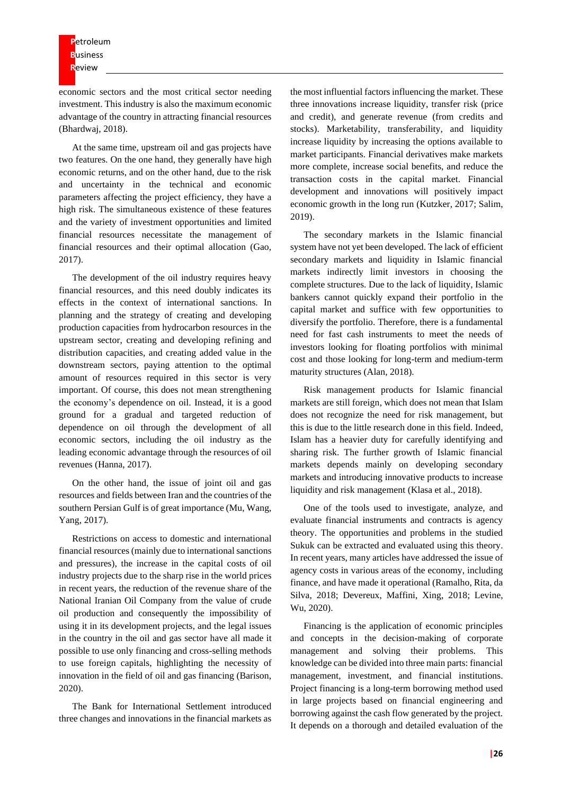**P**etroleum **B**usiness **R**eview

economic sectors and the most critical sector needing investment. This industry is also the maximum economic advantage of the country in attracting financial resources (Bhardwaj, 2018).

At the same time, upstream oil and gas projects have two features. On the one hand, they generally have high economic returns, and on the other hand, due to the risk and uncertainty in the technical and economic parameters affecting the project efficiency, they have a high risk. The simultaneous existence of these features and the variety of investment opportunities and limited financial resources necessitate the management of financial resources and their optimal allocation (Gao, 2017).

The development of the oil industry requires heavy financial resources, and this need doubly indicates its effects in the context of international sanctions. In planning and the strategy of creating and developing production capacities from hydrocarbon resources in the upstream sector, creating and developing refining and distribution capacities, and creating added value in the downstream sectors, paying attention to the optimal amount of resources required in this sector is very important. Of course, this does not mean strengthening the economy's dependence on oil. Instead, it is a good ground for a gradual and targeted reduction of dependence on oil through the development of all economic sectors, including the oil industry as the leading economic advantage through the resources of oil revenues (Hanna, 2017).

On the other hand, the issue of joint oil and gas resources and fields between Iran and the countries of the southern Persian Gulf is of great importance (Mu, Wang, Yang, 2017).

Restrictions on access to domestic and international financial resources (mainly due to international sanctions and pressures), the increase in the capital costs of oil industry projects due to the sharp rise in the world prices in recent years, the reduction of the revenue share of the National Iranian Oil Company from the value of crude oil production and consequently the impossibility of using it in its development projects, and the legal issues in the country in the oil and gas sector have all made it possible to use only financing and cross-selling methods to use foreign capitals, highlighting the necessity of innovation in the field of oil and gas financing (Barison, 2020).

The Bank for International Settlement introduced three changes and innovations in the financial markets as the most influential factors influencing the market. These three innovations increase liquidity, transfer risk (price and credit), and generate revenue (from credits and stocks). Marketability, transferability, and liquidity increase liquidity by increasing the options available to market participants. Financial derivatives make markets more complete, increase social benefits, and reduce the transaction costs in the capital market. Financial development and innovations will positively impact economic growth in the long run (Kutzker, 2017; Salim, 2019).

The secondary markets in the Islamic financial system have not yet been developed. The lack of efficient secondary markets and liquidity in Islamic financial markets indirectly limit investors in choosing the complete structures. Due to the lack of liquidity, Islamic bankers cannot quickly expand their portfolio in the capital market and suffice with few opportunities to diversify the portfolio. Therefore, there is a fundamental need for fast cash instruments to meet the needs of investors looking for floating portfolios with minimal cost and those looking for long-term and medium-term maturity structures (Alan, 2018).

Risk management products for Islamic financial markets are still foreign, which does not mean that Islam does not recognize the need for risk management, but this is due to the little research done in this field. Indeed, Islam has a heavier duty for carefully identifying and sharing risk. The further growth of Islamic financial markets depends mainly on developing secondary markets and introducing innovative products to increase liquidity and risk management (Klasa et al., 2018).

One of the tools used to investigate, analyze, and evaluate financial instruments and contracts is agency theory. The opportunities and problems in the studied Sukuk can be extracted and evaluated using this theory. In recent years, many articles have addressed the issue of agency costs in various areas of the economy, including finance, and have made it operational (Ramalho, Rita, da Silva, 2018; Devereux, Maffini, Xing, 2018; Levine, Wu, 2020).

Financing is the application of economic principles and concepts in the decision-making of corporate management and solving their problems. This knowledge can be divided into three main parts: financial management, investment, and financial institutions. Project financing is a long-term borrowing method used in large projects based on financial engineering and borrowing against the cash flow generated by the project. It depends on a thorough and detailed evaluation of the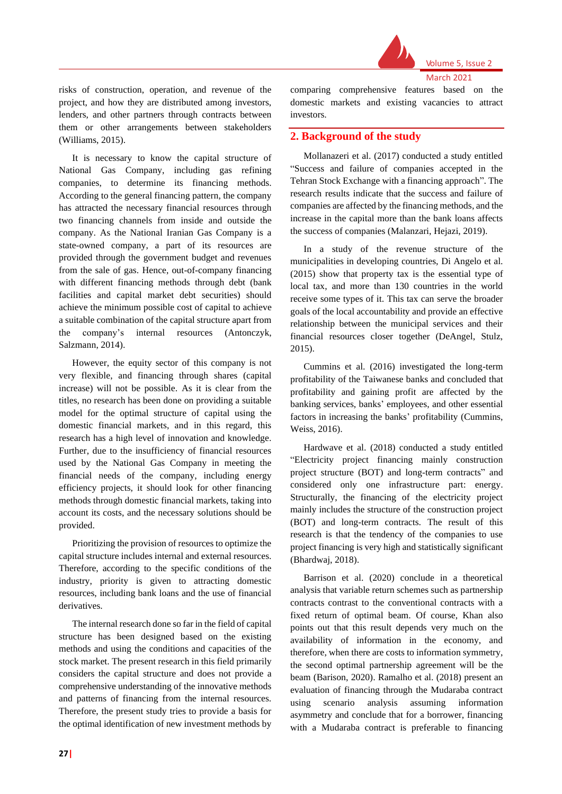

Volume 5, Issue 2

March 2021

risks of construction, operation, and revenue of the project, and how they are distributed among investors, lenders, and other partners through contracts between them or other arrangements between stakeholders (Williams, 2015).

It is necessary to know the capital structure of National Gas Company, including gas refining companies, to determine its financing methods. According to the general financing pattern, the company has attracted the necessary financial resources through two financing channels from inside and outside the company. As the National Iranian Gas Company is a state-owned company, a part of its resources are provided through the government budget and revenues from the sale of gas. Hence, out-of-company financing with different financing methods through debt (bank facilities and capital market debt securities) should achieve the minimum possible cost of capital to achieve a suitable combination of the capital structure apart from the company's internal resources (Antonczyk, Salzmann, 2014).

However, the equity sector of this company is not very flexible, and financing through shares (capital increase) will not be possible. As it is clear from the titles, no research has been done on providing a suitable model for the optimal structure of capital using the domestic financial markets, and in this regard, this research has a high level of innovation and knowledge. Further, due to the insufficiency of financial resources used by the National Gas Company in meeting the financial needs of the company, including energy efficiency projects, it should look for other financing methods through domestic financial markets, taking into account its costs, and the necessary solutions should be provided.

Prioritizing the provision of resources to optimize the capital structure includes internal and external resources. Therefore, according to the specific conditions of the industry, priority is given to attracting domestic resources, including bank loans and the use of financial derivatives.

The internal research done so far in the field of capital structure has been designed based on the existing methods and using the conditions and capacities of the stock market. The present research in this field primarily considers the capital structure and does not provide a comprehensive understanding of the innovative methods and patterns of financing from the internal resources. Therefore, the present study tries to provide a basis for the optimal identification of new investment methods by

comparing comprehensive features based on the domestic markets and existing vacancies to attract investors.

# **2. Background of the study**

Mollanazeri et al. (2017) conducted a study entitled "Success and failure of companies accepted in the Tehran Stock Exchange with a financing approach". The research results indicate that the success and failure of companies are affected by the financing methods, and the increase in the capital more than the bank loans affects the success of companies (Malanzari, Hejazi, 2019).

In a study of the revenue structure of the municipalities in developing countries, Di Angelo et al. (2015) show that property tax is the essential type of local tax, and more than 130 countries in the world receive some types of it. This tax can serve the broader goals of the local accountability and provide an effective relationship between the municipal services and their financial resources closer together (DeAngel, Stulz, 2015).

Cummins et al. (2016) investigated the long-term profitability of the Taiwanese banks and concluded that profitability and gaining profit are affected by the banking services, banks' employees, and other essential factors in increasing the banks' profitability (Cummins, Weiss, 2016).

Hardwave et al. (2018) conducted a study entitled "Electricity project financing mainly construction project structure (BOT) and long-term contracts" and considered only one infrastructure part: energy. Structurally, the financing of the electricity project mainly includes the structure of the construction project (BOT) and long-term contracts. The result of this research is that the tendency of the companies to use project financing is very high and statistically significant (Bhardwaj, 2018).

Barrison et al. (2020) conclude in a theoretical analysis that variable return schemes such as partnership contracts contrast to the conventional contracts with a fixed return of optimal beam. Of course, Khan also points out that this result depends very much on the availability of information in the economy, and therefore, when there are costs to information symmetry, the second optimal partnership agreement will be the beam (Barison, 2020). Ramalho et al. (2018) present an evaluation of financing through the Mudaraba contract using scenario analysis assuming information asymmetry and conclude that for a borrower, financing with a Mudaraba contract is preferable to financing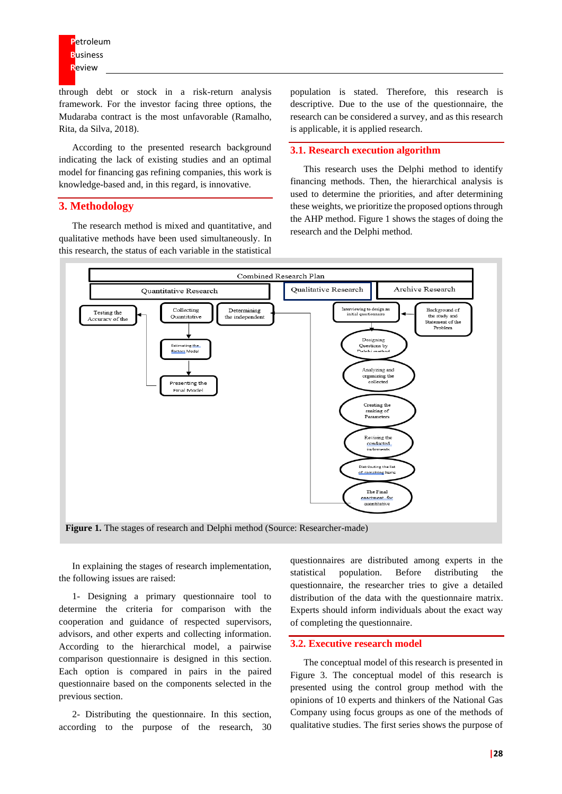through debt or stock in a risk-return analysis framework. For the investor facing three options, the Mudaraba contract is the most unfavorable (Ramalho, Rita, da Silva, 2018).

According to the presented research background indicating the lack of existing studies and an optimal model for financing gas refining companies, this work is knowledge-based and, in this regard, is innovative.

# **3. Methodology**

The research method is mixed and quantitative, and qualitative methods have been used simultaneously. In this research, the status of each variable in the statistical population is stated. Therefore, this research is descriptive. Due to the use of the questionnaire, the research can be considered a survey, and as this research is applicable, it is applied research.

#### **3.1. Research execution algorithm**

This research uses the Delphi method to identify financing methods. Then, the hierarchical analysis is used to determine the priorities, and after determining these weights, we prioritize the proposed options through the AHP method. Figure 1 shows the stages of doing the research and the Delphi method.



In explaining the stages of research implementation, the following issues are raised:

1- Designing a primary questionnaire tool to determine the criteria for comparison with the cooperation and guidance of respected supervisors, advisors, and other experts and collecting information. According to the hierarchical model, a pairwise comparison questionnaire is designed in this section. Each option is compared in pairs in the paired questionnaire based on the components selected in the previous section.

2- Distributing the questionnaire. In this section, according to the purpose of the research, 30

questionnaires are distributed among experts in the statistical population. Before distributing the questionnaire, the researcher tries to give a detailed distribution of the data with the questionnaire matrix. Experts should inform individuals about the exact way of completing the questionnaire.

#### **3.2. Executive research model**

The conceptual model of this research is presented in Figure 3. The conceptual model of this research is presented using the control group method with the opinions of 10 experts and thinkers of the National Gas Company using focus groups as one of the methods of qualitative studies. The first series shows the purpose of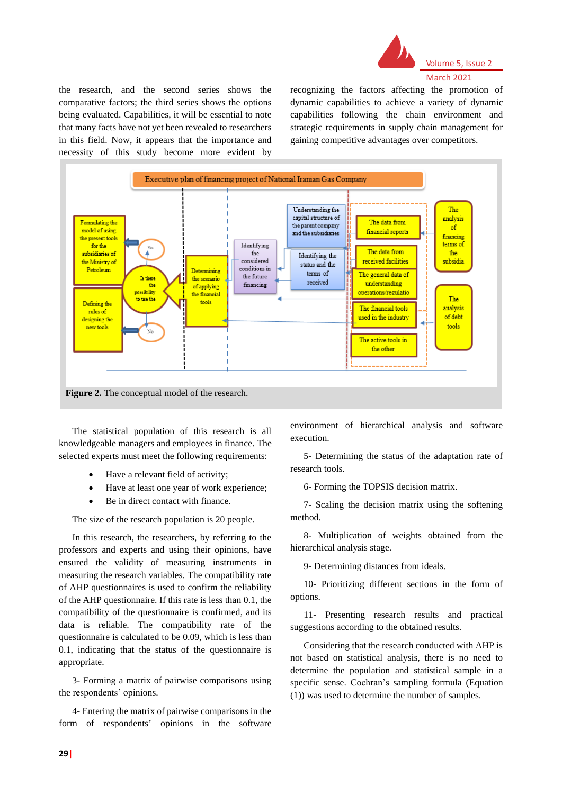

Volume 5, Issue 2 March 2021

the research, and the second series shows the comparative factors; the third series shows the options being evaluated. Capabilities, it will be essential to note that many facts have not yet been revealed to researchers in this field. Now, it appears that the importance and necessity of this study become more evident by recognizing the factors affecting the promotion of dynamic capabilities to achieve a variety of dynamic capabilities following the chain environment and strategic requirements in supply chain management for gaining competitive advantages over competitors.



The statistical population of this research is all knowledgeable managers and employees in finance. The selected experts must meet the following requirements:

- Have a relevant field of activity;
- Have at least one year of work experience;
- Be in direct contact with finance.

The size of the research population is 20 people.

In this research, the researchers, by referring to the professors and experts and using their opinions, have ensured the validity of measuring instruments in measuring the research variables. The compatibility rate of AHP questionnaires is used to confirm the reliability of the AHP questionnaire. If this rate is less than 0.1, the compatibility of the questionnaire is confirmed, and its data is reliable. The compatibility rate of the questionnaire is calculated to be 0.09, which is less than 0.1, indicating that the status of the questionnaire is appropriate.

3- Forming a matrix of pairwise comparisons using the respondents' opinions.

4- Entering the matrix of pairwise comparisons in the form of respondents' opinions in the software

environment of hierarchical analysis and software execution.

5- Determining the status of the adaptation rate of research tools.

6- Forming the TOPSIS decision matrix.

7- Scaling the decision matrix using the softening method.

8- Multiplication of weights obtained from the hierarchical analysis stage.

9- Determining distances from ideals.

10- Prioritizing different sections in the form of options.

11- Presenting research results and practical suggestions according to the obtained results.

Considering that the research conducted with AHP is not based on statistical analysis, there is no need to determine the population and statistical sample in a specific sense. Cochran's sampling formula (Equation (1)) was used to determine the number of samples.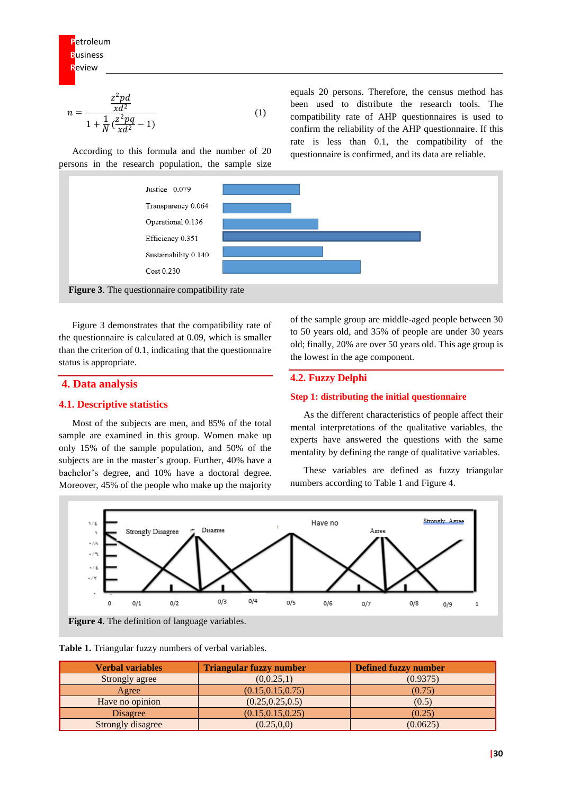$$
n = \frac{\frac{z^2pd}{xd^2}}{1 + \frac{1}{N}(\frac{z^2pq}{xd^2} - 1)}
$$
(1)

According to this formula and the number of 20 persons in the research population, the sample size





Figure 3 demonstrates that the compatibility rate of the questionnaire is calculated at 0.09, which is smaller than the criterion of 0.1, indicating that the questionnaire status is appropriate.

# **4. Data analysis**

#### **4.1. Descriptive statistics**

Most of the subjects are men, and 85% of the total sample are examined in this group. Women make up only 15% of the sample population, and 50% of the subjects are in the master's group. Further, 40% have a bachelor's degree, and 10% have a doctoral degree. Moreover, 45% of the people who make up the majority

of the sample group are middle-aged people between 30 to 50 years old, and 35% of people are under 30 years old; finally, 20% are over 50 years old. This age group is the lowest in the age component.

#### **4.2. Fuzzy Delphi**

#### **Step 1: distributing the initial questionnaire**

As the different characteristics of people affect their mental interpretations of the qualitative variables, the experts have answered the questions with the same mentality by defining the range of qualitative variables.

These variables are defined as fuzzy triangular numbers according to Table 1 and Figure 4.





**Table 1.** Triangular fuzzy numbers of verbal variables.

| <b>Verbal variables</b> | <b>Triangular fuzzy number</b> | <b>Defined fuzzy number</b> |
|-------------------------|--------------------------------|-----------------------------|
| Strongly agree          | (0,0.25,1)                     | (0.9375)                    |
| Agree                   | (0.15, 0.15, 0.75)             | (0.75)                      |
| Have no opinion         | (0.25, 0.25, 0.5)              | (0.5)                       |
| Disagree                | (0.15, 0.15, 0.25)             | (0.25)                      |
| Strongly disagree       | (0.25, 0, 0)                   | (0.0625)                    |

equals 20 persons. Therefore, the census method has been used to distribute the research tools. The compatibility rate of AHP questionnaires is used to confirm the reliability of the AHP questionnaire. If this rate is less than 0.1, the compatibility of the questionnaire is confirmed, and its data are reliable.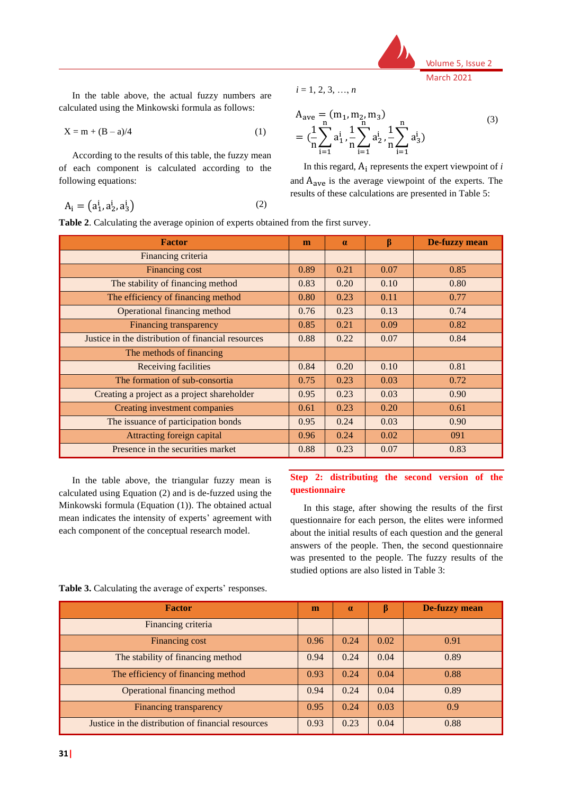

In the table above, the actual fuzzy numbers are calculated using the Minkowski formula as follows:

$$
X = m + (B - a)/4 \tag{1}
$$

According to the results of this table, the fuzzy mean of each component is calculated according to the following equations:

$$
A_i = (a_1^i, a_2^i, a_3^i)
$$
 (2)

*i* = 1, 2, 3, …, *n*

$$
A_{ave} = (m_1, m_2, m_3)
$$
  
=  $(\frac{1}{n}\sum_{i=1}^{n} a_1^i, \frac{1}{n}\sum_{i=1}^{n} a_2^i, \frac{1}{n}\sum_{i=1}^{n} a_3^i)$  (3)

In this regard,  $A_i$  represents the expert viewpoint of  $i$ and Aave is the average viewpoint of the experts. The results of these calculations are presented in Table 5:

**Table 2**. Calculating the average opinion of experts obtained from the first survey.

| <b>Factor</b>                                      | m    | $\alpha$ | $\beta$ | <b>De-fuzzy mean</b> |
|----------------------------------------------------|------|----------|---------|----------------------|
| Financing criteria                                 |      |          |         |                      |
| Financing cost                                     | 0.89 | 0.21     | 0.07    | 0.85                 |
| The stability of financing method                  | 0.83 | 0.20     | 0.10    | 0.80                 |
| The efficiency of financing method                 | 0.80 | 0.23     | 0.11    | 0.77                 |
| Operational financing method                       | 0.76 | 0.23     | 0.13    | 0.74                 |
| Financing transparency                             | 0.85 | 0.21     | 0.09    | 0.82                 |
| Justice in the distribution of financial resources | 0.88 | 0.22     | 0.07    | 0.84                 |
| The methods of financing                           |      |          |         |                      |
| <b>Receiving facilities</b>                        | 0.84 | 0.20     | 0.10    | 0.81                 |
| The formation of sub-consortia                     | 0.75 | 0.23     | 0.03    | 0.72                 |
| Creating a project as a project shareholder        | 0.95 | 0.23     | 0.03    | 0.90                 |
| Creating investment companies                      | 0.61 | 0.23     | 0.20    | 0.61                 |
| The issuance of participation bonds                | 0.95 | 0.24     | 0.03    | 0.90                 |
| Attracting foreign capital                         | 0.96 | 0.24     | 0.02    | 091                  |
| Presence in the securities market                  | 0.88 | 0.23     | 0.07    | 0.83                 |

In the table above, the triangular fuzzy mean is calculated using Equation (2) and is de-fuzzed using the Minkowski formula (Equation (1)). The obtained actual mean indicates the intensity of experts' agreement with each component of the conceptual research model.

### **Step 2: distributing the second version of the questionnaire**

In this stage, after showing the results of the first questionnaire for each person, the elites were informed about the initial results of each question and the general answers of the people. Then, the second questionnaire was presented to the people. The fuzzy results of the studied options are also listed in Table 3:

| <b>Factor</b>                                      | m    | $\alpha$ | ß    | De-fuzzy mean |
|----------------------------------------------------|------|----------|------|---------------|
| Financing criteria                                 |      |          |      |               |
| Financing cost                                     | 0.96 | 0.24     | 0.02 | 0.91          |
| The stability of financing method                  | 0.94 | 0.24     | 0.04 | 0.89          |
| The efficiency of financing method                 | 0.93 | 0.24     | 0.04 | 0.88          |
| <b>Operational financing method</b>                | 0.94 | 0.24     | 0.04 | 0.89          |
| Financing transparency                             | 0.95 | 0.24     | 0.03 | 0.9           |
| Justice in the distribution of financial resources | 0.93 | 0.23     | 0.04 | 0.88          |

**Table 3.** Calculating the average of experts' responses.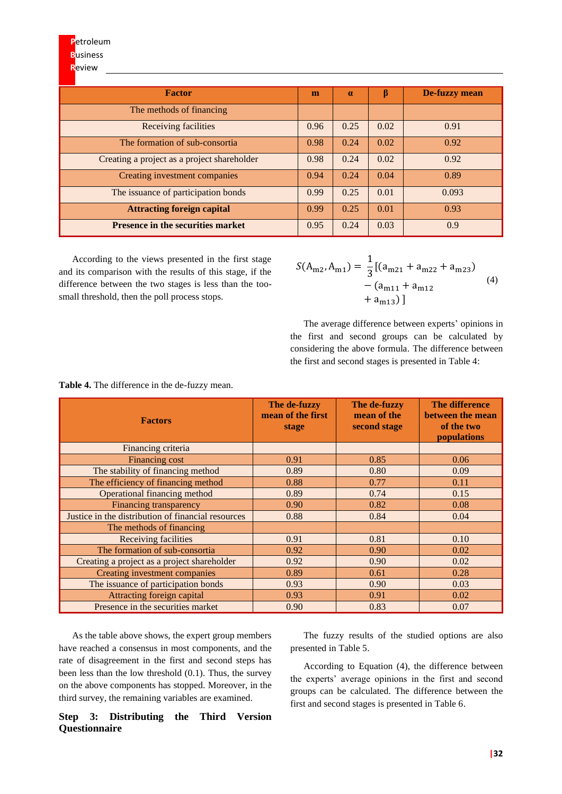| <b>Factor</b>                               | m    | $\alpha$ | β    | De-fuzzy mean |
|---------------------------------------------|------|----------|------|---------------|
| The methods of financing                    |      |          |      |               |
| Receiving facilities                        | 0.96 | 0.25     | 0.02 | 0.91          |
| The formation of sub-consortia              | 0.98 | 0.24     | 0.02 | 0.92          |
| Creating a project as a project shareholder | 0.98 | 0.24     | 0.02 | 0.92          |
| Creating investment companies               | 0.94 | 0.24     | 0.04 | 0.89          |
| The issuance of participation bonds         | 0.99 | 0.25     | 0.01 | 0.093         |
| <b>Attracting foreign capital</b>           | 0.99 | 0.25     | 0.01 | 0.93          |
| <b>Presence in the securities market</b>    | 0.95 | 0.24     | 0.03 | 0.9           |

According to the views presented in the first stage and its comparison with the results of this stage, if the difference between the two stages is less than the toosmall threshold, then the poll process stops.

 $S(A_{m2},A_{m1}) =$ 1  $\frac{1}{3}$ [(a<sub>m21</sub> + a<sub>m22</sub> + a<sub>m23</sub>)  $-(a_{m11} + a_{m12})$  $+ a<sub>m13</sub>$ ] (4)

The average difference between experts' opinions in the first and second groups can be calculated by considering the above formula. The difference between the first and second stages is presented in Table 4:

**Table 4.** The difference in the de-fuzzy mean.

| <b>Factors</b>                                     | The de-fuzzy<br>mean of the first<br>stage | The de-fuzzy<br>mean of the<br>second stage | <b>The difference</b><br>between the mean<br>of the two<br>populations |
|----------------------------------------------------|--------------------------------------------|---------------------------------------------|------------------------------------------------------------------------|
| Financing criteria                                 |                                            |                                             |                                                                        |
| Financing cost                                     | 0.91                                       | 0.85                                        | 0.06                                                                   |
| The stability of financing method                  | 0.89                                       | 0.80                                        | 0.09                                                                   |
| The efficiency of financing method                 | 0.88                                       | 0.77                                        | 0.11                                                                   |
| Operational financing method                       | 0.89                                       | 0.74                                        | 0.15                                                                   |
| <b>Financing transparency</b>                      | 0.90                                       | 0.82                                        | 0.08                                                                   |
| Justice in the distribution of financial resources | 0.88                                       | 0.84                                        | 0.04                                                                   |
| The methods of financing                           |                                            |                                             |                                                                        |
| Receiving facilities                               | 0.91                                       | 0.81                                        | 0.10                                                                   |
| The formation of sub-consortia                     | 0.92                                       | 0.90                                        | 0.02                                                                   |
| Creating a project as a project shareholder        | 0.92                                       | 0.90                                        | 0.02                                                                   |
| Creating investment companies                      | 0.89                                       | 0.61                                        | 0.28                                                                   |
| The issuance of participation bonds                | 0.93                                       | 0.90                                        | 0.03                                                                   |
| Attracting foreign capital                         | 0.93                                       | 0.91                                        | 0.02                                                                   |
| Presence in the securities market                  | 0.90                                       | 0.83                                        | 0.07                                                                   |

As the table above shows, the expert group members have reached a consensus in most components, and the rate of disagreement in the first and second steps has been less than the low threshold (0.1). Thus, the survey on the above components has stopped. Moreover, in the third survey, the remaining variables are examined.

**Step 3: Distributing the Third Version Questionnaire**

The fuzzy results of the studied options are also presented in Table 5.

According to Equation (4), the difference between the experts' average opinions in the first and second groups can be calculated. The difference between the first and second stages is presented in Table 6.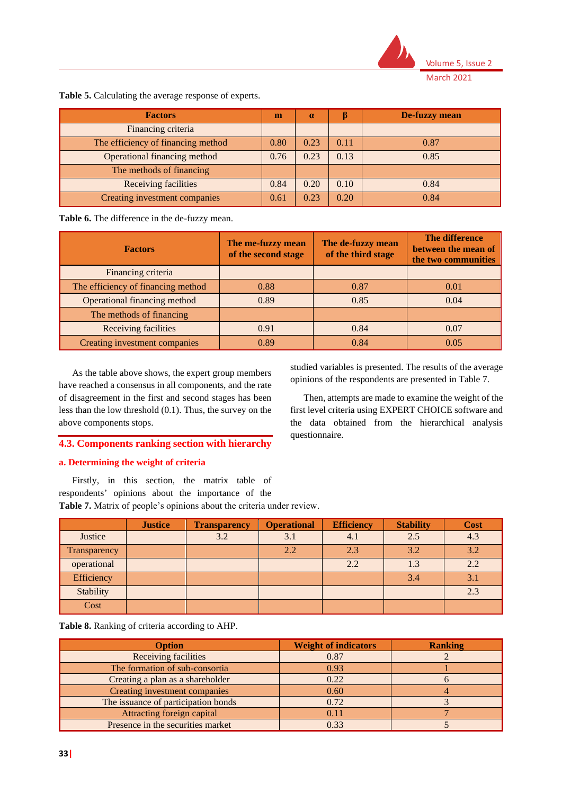

| <b>Factors</b>                     | m    | $\alpha$ |      | De-fuzzy mean |
|------------------------------------|------|----------|------|---------------|
| Financing criteria                 |      |          |      |               |
| The efficiency of financing method | 0.80 | 0.23     | 0.11 | 0.87          |
| Operational financing method       | 0.76 | 0.23     | 0.13 | 0.85          |
| The methods of financing           |      |          |      |               |
| <b>Receiving facilities</b>        | 0.84 | 0.20     | 0.10 | 0.84          |
| Creating investment companies      | 0.61 | 0.23     | 0.20 | 0.84          |

**Table 5.** Calculating the average response of experts.

**Table 6.** The difference in the de-fuzzy mean.

| <b>Factors</b>                     | The me-fuzzy mean<br>of the second stage | The de-fuzzy mean<br>of the third stage | <b>The difference</b><br>between the mean of<br>the two communities |
|------------------------------------|------------------------------------------|-----------------------------------------|---------------------------------------------------------------------|
| Financing criteria                 |                                          |                                         |                                                                     |
| The efficiency of financing method | 0.88                                     | 0.87                                    | 0.01                                                                |
| Operational financing method       | 0.89                                     | 0.85                                    | 0.04                                                                |
| The methods of financing           |                                          |                                         |                                                                     |
| Receiving facilities               | 0.91                                     | 0.84                                    | 0.07                                                                |
| Creating investment companies      | 0.89                                     | 0.84                                    | 0.05                                                                |

As the table above shows, the expert group members have reached a consensus in all components, and the rate of disagreement in the first and second stages has been less than the low threshold (0.1). Thus, the survey on the above components stops.

# **4.3. Components ranking section with hierarchy**

# **a. Determining the weight of criteria**

Firstly, in this section, the matrix table of respondents' opinions about the importance of the **Table 7.** Matrix of people's opinions about the criteria under review.

**Justice Transparency Operational Efficiency Stability Cost** Justice | | 3.2 | 3.1 | 4.1 | 2.5 | 4.3  $Transpareney$   $2.2$   $2.3$   $3.2$   $3.3$ **operational** 2.2 1.3 2.2 Efficiency 3.4 3.1 Stability | 2.3 Cost

**Table 8.** Ranking of criteria according to AHP.

| <b>Option</b>                       | <b>Weight of indicators</b> | <b>Ranking</b> |
|-------------------------------------|-----------------------------|----------------|
| <b>Receiving facilities</b>         | 0.87                        |                |
| The formation of sub-consortia      | 0.93                        |                |
| Creating a plan as a shareholder    | 0.22                        |                |
| Creating investment companies       | 0.60                        |                |
| The issuance of participation bonds | 0.72                        |                |
| Attracting foreign capital          | 0.11                        |                |
| Presence in the securities market   | 0.33                        |                |

studied variables is presented. The results of the average opinions of the respondents are presented in Table 7.

Then, attempts are made to examine the weight of the first level criteria using EXPERT CHOICE software and the data obtained from the hierarchical analysis questionnaire.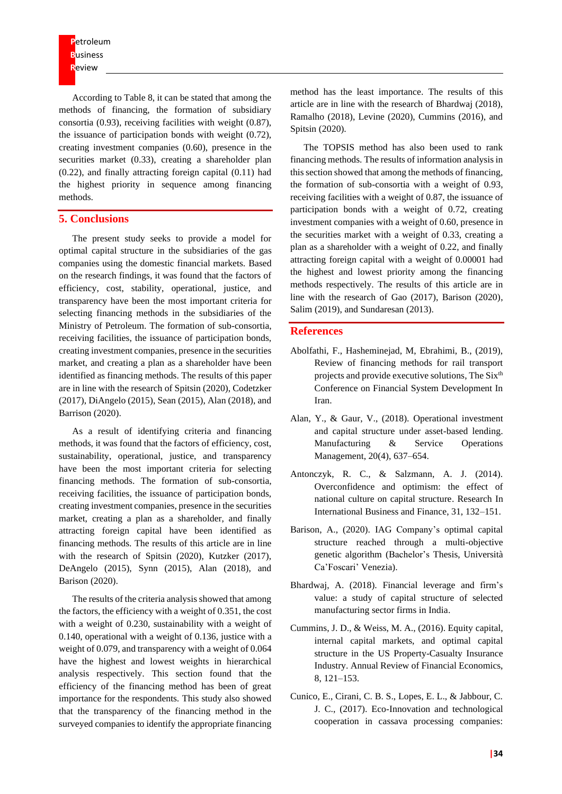**P**etroleum **B**usiness **R**eview

According to Table 8, it can be stated that among the methods of financing, the formation of subsidiary consortia (0.93), receiving facilities with weight (0.87), the issuance of participation bonds with weight (0.72), creating investment companies (0.60), presence in the securities market (0.33), creating a shareholder plan (0.22), and finally attracting foreign capital (0.11) had the highest priority in sequence among financing methods.

# **5. Conclusions**

The present study seeks to provide a model for optimal capital structure in the subsidiaries of the gas companies using the domestic financial markets. Based on the research findings, it was found that the factors of efficiency, cost, stability, operational, justice, and transparency have been the most important criteria for selecting financing methods in the subsidiaries of the Ministry of Petroleum. The formation of sub-consortia, receiving facilities, the issuance of participation bonds, creating investment companies, presence in the securities market, and creating a plan as a shareholder have been identified as financing methods. The results of this paper are in line with the research of Spitsin (2020), Codetzker (2017), DiAngelo (2015), Sean (2015), Alan (2018), and Barrison (2020).

As a result of identifying criteria and financing methods, it was found that the factors of efficiency, cost, sustainability, operational, justice, and transparency have been the most important criteria for selecting financing methods. The formation of sub-consortia, receiving facilities, the issuance of participation bonds, creating investment companies, presence in the securities market, creating a plan as a shareholder, and finally attracting foreign capital have been identified as financing methods. The results of this article are in line with the research of Spitsin (2020), Kutzker (2017), DeAngelo (2015), Synn (2015), Alan (2018), and Barison (2020).

The results of the criteria analysis showed that among the factors, the efficiency with a weight of 0.351, the cost with a weight of 0.230, sustainability with a weight of 0.140, operational with a weight of 0.136, justice with a weight of 0.079, and transparency with a weight of 0.064 have the highest and lowest weights in hierarchical analysis respectively. This section found that the efficiency of the financing method has been of great importance for the respondents. This study also showed that the transparency of the financing method in the surveyed companies to identify the appropriate financing

method has the least importance. The results of this article are in line with the research of Bhardwaj (2018), Ramalho (2018), Levine (2020), Cummins (2016), and Spitsin (2020).

The TOPSIS method has also been used to rank financing methods. The results of information analysis in this section showed that among the methods of financing, the formation of sub-consortia with a weight of 0.93, receiving facilities with a weight of 0.87, the issuance of participation bonds with a weight of 0.72, creating investment companies with a weight of 0.60, presence in the securities market with a weight of 0.33, creating a plan as a shareholder with a weight of 0.22, and finally attracting foreign capital with a weight of 0.00001 had the highest and lowest priority among the financing methods respectively. The results of this article are in line with the research of Gao (2017), Barison (2020), Salim (2019), and Sundaresan (2013).

# **References**

- Abolfathi, F., Hasheminejad, M, Ebrahimi, B., (2019), Review of financing methods for rail transport projects and provide executive solutions, The Six<sup>th</sup> Conference on Financial System Development In Iran.
- Alan, Y., & Gaur, V., (2018). Operational investment and capital structure under asset-based lending. Manufacturing & Service Operations Management, 20(4), 637–654.
- Antonczyk, R. C., & Salzmann, A. J. (2014). Overconfidence and optimism: the effect of national culture on capital structure. Research In International Business and Finance, 31, 132–151.
- Barison, A., (2020). IAG Company's optimal capital structure reached through a multi-objective genetic algorithm (Bachelor's Thesis, Università Ca'Foscari' Venezia).
- Bhardwaj, A. (2018). Financial leverage and firm's value: a study of capital structure of selected manufacturing sector firms in India.
- Cummins, J. D., & Weiss, M. A., (2016). Equity capital, internal capital markets, and optimal capital structure in the US Property-Casualty Insurance Industry. Annual Review of Financial Economics, 8, 121–153.
- Cunico, E., Cirani, C. B. S., Lopes, E. L., & Jabbour, C. J. C., (2017). Eco-Innovation and technological cooperation in cassava processing companies: